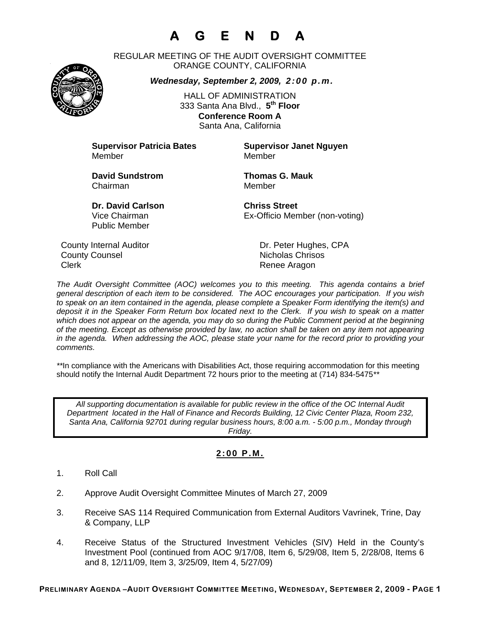# **A G E N D A**

REGULAR MEETING OF THE AUDIT OVERSIGHT COMMITTEE ORANGE COUNTY, CALIFORNIA

*Wednesday, September 2, 2009, 2:00 p.m.*

HALL OF ADMINISTRATION 333 Santa Ana Blvd., **5th Floor Conference Room A**  Santa Ana, California

**Supervisor Patricia Bates Supervisor Janet Nguyen** Member Member

**David Sundstrom Thomas G. Mauk**  Chairman Member

Public Member

**Dr. David Carlson Chriss Street** Vice Chairman Ex-Officio Member (non-voting)

County Internal Auditor County Internal Auditor Dr. Peter Hughes, CPA **County Counsel Counsel County Counsel County Counsel County** Counsel Clerk **Clerk Renee Aragon** 

*The Audit Oversight Committee (AOC) welcomes you to this meeting. This agenda contains a brief general description of each item to be considered. The AOC encourages your participation. If you wish to speak on an item contained in the agenda, please complete a Speaker Form identifying the item(s) and deposit it in the Speaker Form Return box located next to the Clerk. If you wish to speak on a matter which does not appear on the agenda, you may do so during the Public Comment period at the beginning of the meeting. Except as otherwise provided by law, no action shall be taken on any item not appearing in the agenda. When addressing the AOC, please state your name for the record prior to providing your comments.* 

*\*\**In compliance with the Americans with Disabilities Act, those requiring accommodation for this meeting should notify the Internal Audit Department 72 hours prior to the meeting at (714) 834-5475*\*\** 

*All supporting documentation is available for public review in the office of the OC Internal Audit Department located in the Hall of Finance and Records Building, 12 Civic Center Plaza, Room 232, Santa Ana, California 92701 during regular business hours, 8:00 a.m. - 5:00 p.m., Monday through Friday.* 

### **2:00 P.M.**

- 1. Roll Call
- 2. Approve Audit Oversight Committee Minutes of March 27, 2009
- 3. Receive SAS 114 Required Communication from External Auditors Vavrinek, Trine, Day & Company, LLP
- 4. Receive Status of the Structured Investment Vehicles (SIV) Held in the County's Investment Pool (continued from AOC 9/17/08, Item 6, 5/29/08, Item 5, 2/28/08, Items 6 and 8, 12/11/09, Item 3, 3/25/09, Item 4, 5/27/09)